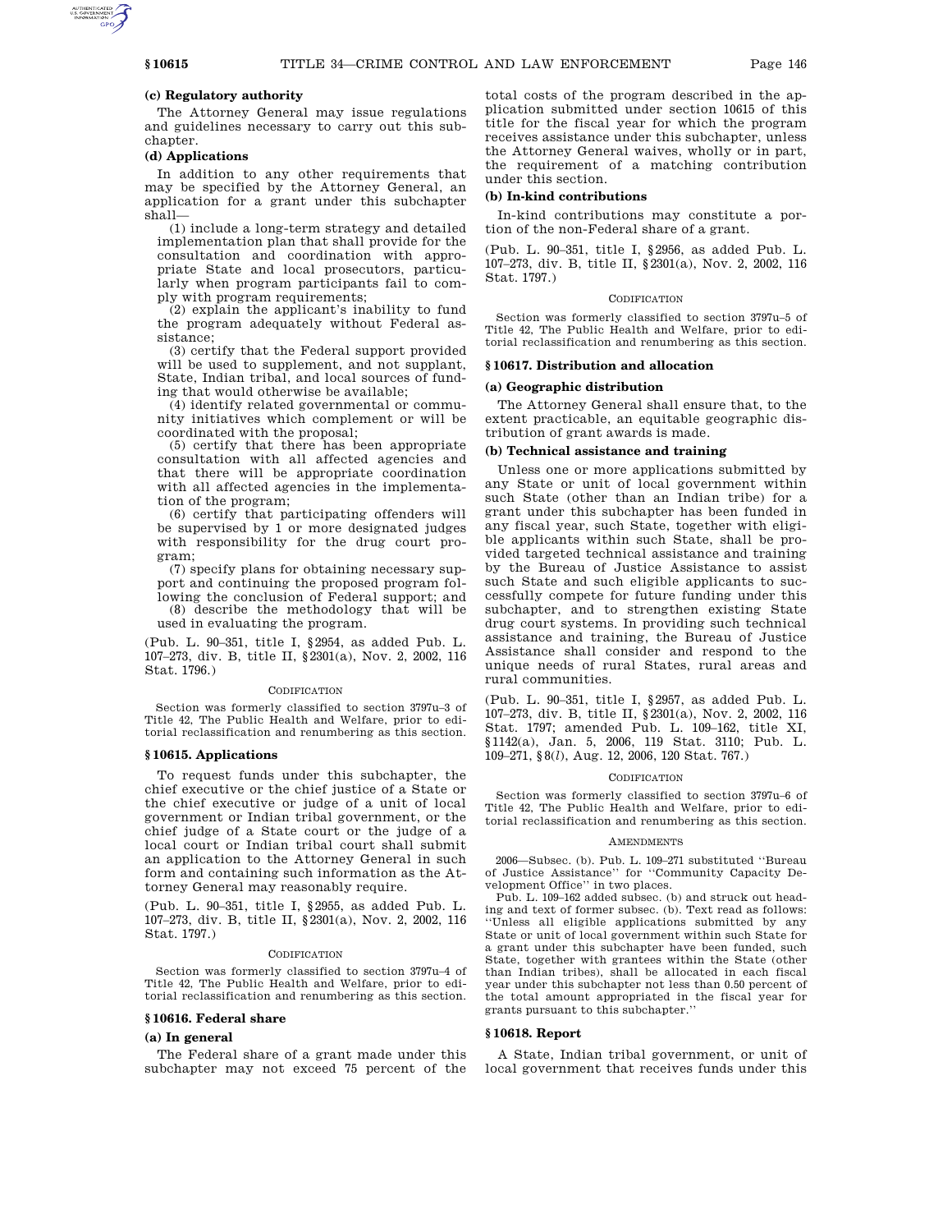## **(c) Regulatory authority**

The Attorney General may issue regulations and guidelines necessary to carry out this subchapter.

# **(d) Applications**

In addition to any other requirements that may be specified by the Attorney General, an application for a grant under this subchapter shall—

(1) include a long-term strategy and detailed implementation plan that shall provide for the consultation and coordination with appropriate State and local prosecutors, particularly when program participants fail to comply with program requirements;

(2) explain the applicant's inability to fund the program adequately without Federal assistance;

(3) certify that the Federal support provided will be used to supplement, and not supplant, State, Indian tribal, and local sources of funding that would otherwise be available;

(4) identify related governmental or community initiatives which complement or will be coordinated with the proposal;

(5) certify that there has been appropriate consultation with all affected agencies and that there will be appropriate coordination with all affected agencies in the implementation of the program;

(6) certify that participating offenders will be supervised by 1 or more designated judges with responsibility for the drug court program;

(7) specify plans for obtaining necessary support and continuing the proposed program following the conclusion of Federal support; and

(8) describe the methodology that will be used in evaluating the program.

(Pub. L. 90–351, title I, §2954, as added Pub. L. 107–273, div. B, title II, §2301(a), Nov. 2, 2002, 116 Stat. 1796.)

### **CODIFICATION**

Section was formerly classified to section 3797u–3 of Title 42, The Public Health and Welfare, prior to editorial reclassification and renumbering as this section.

#### **§ 10615. Applications**

To request funds under this subchapter, the chief executive or the chief justice of a State or the chief executive or judge of a unit of local government or Indian tribal government, or the chief judge of a State court or the judge of a local court or Indian tribal court shall submit an application to the Attorney General in such form and containing such information as the Attorney General may reasonably require.

(Pub. L. 90–351, title I, §2955, as added Pub. L. 107–273, div. B, title II, §2301(a), Nov. 2, 2002, 116 Stat. 1797.)

#### CODIFICATION

Section was formerly classified to section 3797u–4 of Title 42, The Public Health and Welfare, prior to editorial reclassification and renumbering as this section.

### **§ 10616. Federal share**

### **(a) In general**

The Federal share of a grant made under this subchapter may not exceed 75 percent of the

total costs of the program described in the application submitted under section 10615 of this title for the fiscal year for which the program receives assistance under this subchapter, unless the Attorney General waives, wholly or in part, the requirement of a matching contribution under this section.

## **(b) In-kind contributions**

In-kind contributions may constitute a portion of the non-Federal share of a grant.

(Pub. L. 90–351, title I, §2956, as added Pub. L. 107–273, div. B, title II, §2301(a), Nov. 2, 2002, 116 Stat. 1797.)

#### **CODIFICATION**

Section was formerly classified to section 3797u–5 of Title 42, The Public Health and Welfare, prior to editorial reclassification and renumbering as this section.

## **§ 10617. Distribution and allocation**

#### **(a) Geographic distribution**

The Attorney General shall ensure that, to the extent practicable, an equitable geographic distribution of grant awards is made.

# **(b) Technical assistance and training**

Unless one or more applications submitted by any State or unit of local government within such State (other than an Indian tribe) for a grant under this subchapter has been funded in any fiscal year, such State, together with eligible applicants within such State, shall be provided targeted technical assistance and training by the Bureau of Justice Assistance to assist such State and such eligible applicants to successfully compete for future funding under this subchapter, and to strengthen existing State drug court systems. In providing such technical assistance and training, the Bureau of Justice Assistance shall consider and respond to the unique needs of rural States, rural areas and rural communities.

(Pub. L. 90–351, title I, §2957, as added Pub. L. 107–273, div. B, title II, §2301(a), Nov. 2, 2002, 116 Stat. 1797; amended Pub. L. 109–162, title XI, §1142(a), Jan. 5, 2006, 119 Stat. 3110; Pub. L. 109–271, §8(*l*), Aug. 12, 2006, 120 Stat. 767.)

#### CODIFICATION

Section was formerly classified to section 3797u–6 of Title 42, The Public Health and Welfare, prior to editorial reclassification and renumbering as this section.

#### AMENDMENTS

2006—Subsec. (b). Pub. L. 109–271 substituted ''Bureau of Justice Assistance'' for ''Community Capacity Development Office'' in two places.

Pub. L. 109–162 added subsec. (b) and struck out heading and text of former subsec. (b). Text read as follows: ''Unless all eligible applications submitted by any State or unit of local government within such State for a grant under this subchapter have been funded, such State, together with grantees within the State (other than Indian tribes), shall be allocated in each fiscal year under this subchapter not less than 0.50 percent of the total amount appropriated in the fiscal year for grants pursuant to this subchapter.''

#### **§ 10618. Report**

A State, Indian tribal government, or unit of local government that receives funds under this